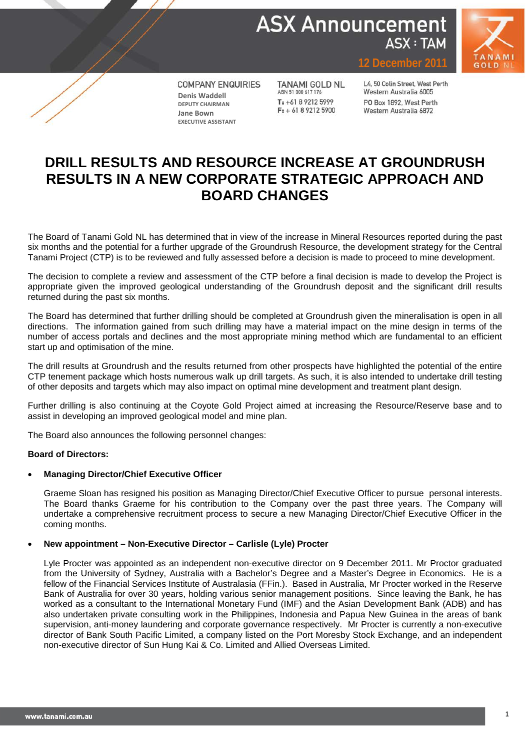



**COMPANY ENQUIRIES Denis Waddell DEPUTY CHAIRMAN Jane Bown EXECUTIVE ASSISTANT**

**TANAMI GOLD NL** ABN 51 000 617 176  $T: +61892125999$  $F: +61892125900$ 

L4, 50 Colin Street, West Perth Western Australia 6005 PO Box 1892, West Perth Western Australia 6872

**December** 201

## **DRILL RESULTS AND RESOURCE INCREASE AT GROUNDRUSH RESULTS IN A NEW CORPORATE STRATEGIC APPROACH AND BOARD CHANGES**

The Board of Tanami Gold NL has determined that in view of the increase in Mineral Resources reported during the past six months and the potential for a further upgrade of the Groundrush Resource, the development strategy for the Central Tanami Project (CTP) is to be reviewed and fully assessed before a decision is made to proceed to mine development.

The decision to complete a review and assessment of the CTP before a final decision is made to develop the Project is appropriate given the improved geological understanding of the Groundrush deposit and the significant drill results returned during the past six months.

The Board has determined that further drilling should be completed at Groundrush given the mineralisation is open in all directions. The information gained from such drilling may have a material impact on the mine design in terms of the number of access portals and declines and the most appropriate mining method which are fundamental to an efficient start up and optimisation of the mine.

The drill results at Groundrush and the results returned from other prospects have highlighted the potential of the entire CTP tenement package which hosts numerous walk up drill targets. As such, it is also intended to undertake drill testing of other deposits and targets which may also impact on optimal mine development and treatment plant design.

Further drilling is also continuing at the Coyote Gold Project aimed at increasing the Resource/Reserve base and to assist in developing an improved geological model and mine plan.

The Board also announces the following personnel changes:

#### **Board of Directors:**

#### • **Managing Director/Chief Executive Officer**

Graeme Sloan has resigned his position as Managing Director/Chief Executive Officer to pursue personal interests. The Board thanks Graeme for his contribution to the Company over the past three years. The Company will undertake a comprehensive recruitment process to secure a new Managing Director/Chief Executive Officer in the coming months.

#### • **New appointment – Non-Executive Director – Carlisle (Lyle) Procter**

Lyle Procter was appointed as an independent non-executive director on 9 December 2011. Mr Proctor graduated from the University of Sydney, Australia with a Bachelor's Degree and a Master's Degree in Economics. He is a fellow of the Financial Services Institute of Australasia (FFin.). Based in Australia, Mr Procter worked in the Reserve Bank of Australia for over 30 years, holding various senior management positions. Since leaving the Bank, he has worked as a consultant to the International Monetary Fund (IMF) and the Asian Development Bank (ADB) and has also undertaken private consulting work in the Philippines, Indonesia and Papua New Guinea in the areas of bank supervision, anti-money laundering and corporate governance respectively. Mr Procter is currently a non-executive director of Bank South Pacific Limited, a company listed on the Port Moresby Stock Exchange, and an independent non-executive director of Sun Hung Kai & Co. Limited and Allied Overseas Limited.